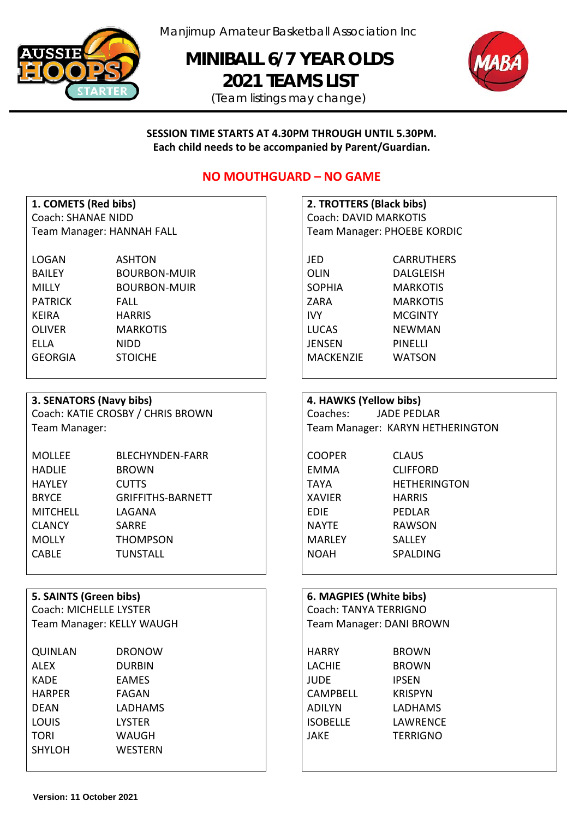

Manjimup Amateur Basketball Association Inc

**MINIBALL 6/7 YEAR OLDS 2021 TEAMS LIST** 





**SESSION TIME STARTS AT 4.30PM THROUGH UNTIL 5.30PM. Each child needs to be accompanied by Parent/Guardian.**

# **NO MOUTHGUARD – NO GAME**

| 1. COMETS (Red bibs)             |
|----------------------------------|
| Coach: SHANAE NIDD               |
| <b>Team Manager: HANNAH FALL</b> |

| <b>LOGAN</b>   | <b>ASHTON</b>       | JED              | <b>CARRUTHER</b> |
|----------------|---------------------|------------------|------------------|
| <b>BAILEY</b>  | <b>BOURBON-MUIR</b> | OLIN             | <b>DALGLEISH</b> |
| <b>MILLY</b>   | <b>BOURBON-MUIR</b> | <b>SOPHIA</b>    | <b>MARKOTIS</b>  |
| <b>PATRICK</b> | <b>FALL</b>         | ZARA             | <b>MARKOTIS</b>  |
| <b>KEIRA</b>   | <b>HARRIS</b>       | <b>IVY</b>       | <b>MCGINTY</b>   |
| <b>OLIVER</b>  | <b>MARKOTIS</b>     | <b>LUCAS</b>     | <b>NEWMAN</b>    |
| ELLA           | <b>NIDD</b>         | JENSEN           | <b>PINELLI</b>   |
| <b>GEORGIA</b> | <b>STOICHE</b>      | <b>MACKENZIE</b> | <b>WATSON</b>    |
|                |                     |                  |                  |

## **3. SENATORS (Navy bibs) 4. HAWKS (Yellow bibs)**

Coach: KATIE CROSBY / CHRIS BROWN Coaches: JADE PEDLAR

| <b>BLECHYNDEN-FARR</b>   | <b>COOPER</b> | <b>CLAUS</b>    |
|--------------------------|---------------|-----------------|
| <b>BROWN</b>             | EMMA          | <b>CLIFFORD</b> |
| <b>CUTTS</b>             | TAYA          | <b>HETHERIN</b> |
| <b>GRIFFITHS-BARNETT</b> | XAVIER        | <b>HARRIS</b>   |
| LAGANA                   | EDIE          | PEDLAR          |
| <b>SARRE</b>             | <b>NAYTE</b>  | <b>RAWSON</b>   |
| <b>THOMPSON</b>          | <b>MARLEY</b> | <b>SALLEY</b>   |
| <b>TUNSTALL</b>          | <b>NOAH</b>   | <b>SPALDING</b> |
|                          |               |                 |

## **5. SAINTS** (Green bibs)

Coach: MICHELLE LYSTER Team Manager: KELLY WAUGH

| <b>DRONOW</b>  | <b>HARRY</b>    | <b>BROWN</b>    |
|----------------|-----------------|-----------------|
| <b>DURBIN</b>  | <b>LACHIE</b>   | <b>BROWN</b>    |
| <b>EAMES</b>   | <b>JUDE</b>     | <b>IPSEN</b>    |
| FAGAN          | <b>CAMPBELL</b> | <b>KRISPYN</b>  |
| LADHAMS        | ADILYN          | LADHAMS         |
| <b>LYSTER</b>  | <b>ISOBELLE</b> | LAWRENCE        |
| <b>WAUGH</b>   | <b>JAKE</b>     | <b>TERRIGNO</b> |
| <b>WESTERN</b> |                 |                 |
|                |                 |                 |

## **1. COMETS (Red bibs) 2. TROTTERS (Black bibs)** Coach: DAVID MARKOTIS Team Manager: PHOEBE KORDIC

JED CARRUTHERS ZARA MARKOTIS MACKENZIE WATSON

Team Manager: Team Manager: KARYN HETHERINGTON

| COOPER        | C  |
|---------------|----|
| EMMA          | C  |
| <b>TAYA</b>   | н  |
| KAVIER        | н  |
| EDIE          | P  |
| NAYTE         | R  |
| <b>MARLEY</b> | S. |
| NOAH          | S  |
|               |    |

**IETHERINGTON** 

| 6. MAGPIES (White bibs)       |                                 |  |  |
|-------------------------------|---------------------------------|--|--|
|                               | Coach: TANYA TERRIGNO           |  |  |
|                               | <b>Team Manager: DANI BROWN</b> |  |  |
| <b>HARRY</b>                  | <b>BROWN</b>                    |  |  |
| $I$ $\Lambda$ $C$ $H$ $I$ $E$ | <b>DDAININ</b>                  |  |  |

| <b>BROWN</b>    |
|-----------------|
| <b>IPSEN</b>    |
| <b>KRISPYN</b>  |
| LADHAMS         |
| LAWRENCE        |
| <b>TERRIGNO</b> |
|                 |